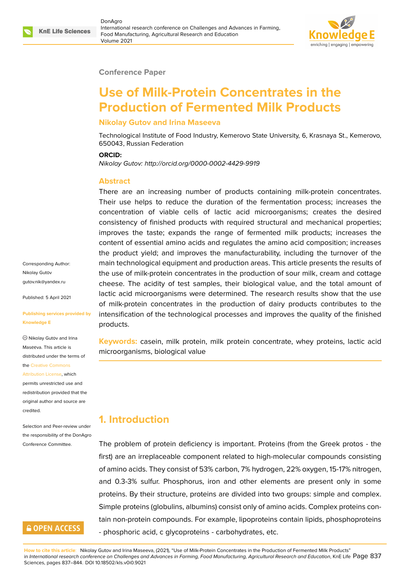### **Conference Paper**

# **Use of Milk-Protein Concentrates in the Production of Fermented Milk Products**

### **Nikolay Gutov and Irina Maseeva**

Technological Institute of Food Industry, Kemerovo State University, 6, Krasnaya St., Kemerovo, 650043, Russian Federation

#### **ORCID:**

*Nikolay Gutov: http://orcid.org/0000-0002-4429-9919*

### **Abstract**

There are an increasing number of products containing milk-protein concentrates. Their use helps to reduce the duration of the fermentation process; increases the concentration of viable cells of lactic acid microorganisms; creates the desired consistency of finished products with required structural and mechanical properties; improves the taste; expands the range of fermented milk products; increases the content of essential amino acids and regulates the amino acid composition; increases the product yield; and improves the manufacturability, including the turnover of the main technological equipment and production areas. This article presents the results of the use of milk-protein concentrates in the production of sour milk, cream and cottage cheese. The acidity of test samples, their biological value, and the total amount of lactic acid microorganisms were determined. The research results show that the use of milk-protein concentrates in the production of dairy products contributes to the intensification of the technological processes and improves the quality of the finished products.

**Keywords:** casein, milk protein, milk protein concentrate, whey proteins, lactic acid microorganisms, biological value

## **1. Introduction**

The problem of protein deficiency is important. Proteins (from the Greek protos - the first) are an irreplaceable component related to high-molecular compounds consisting of amino acids. They consist of 53% carbon, 7% hydrogen, 22% oxygen, 15-17% nitrogen, and 0.3-3% sulfur. Phosphorus, iron and other elements are present only in some proteins. By their structure, proteins are divided into two groups: simple and complex. Simple proteins (globulins, albumins) consist only of amino acids. Complex proteins contain non-protein compounds. For example, lipoproteins contain lipids, phosphoproteins - phosphoric acid, c glycoproteins - carbohydrates, etc.

**How to cite this article**: Nikolay Gutov and Irina Maseeva, (2021), "Use of Milk-Protein Concentrates in the Production of Fermented Milk Products" in *International research conference on Challenges and Advances in Farming, Food Manufacturing, Agricultural Research and Education*, KnE Life Page 837

Corresponding Author: Nikolay Gutоv gutov.nik@yandex.ru

Published: 5 April 2021

#### **[Publishing services p](mailto:gutov.nik@yandex.ru)rovided by Knowledge E**

Nikolay Gutоv and Irina Masееva. This article is distributed under the terms of the Creative Commons

#### Attribution License, which

permits unrestricted use and redistribution provided that the orig[inal author and sou](https://creativecommons.org/licenses/by/4.0/)rce are [credited.](https://creativecommons.org/licenses/by/4.0/)

Selection and Peer-review under the responsibility of the DonAgro Conference Committee.

# **GOPEN ACCESS**

Sciences, pages 837–844. DOI 10.18502/kls.v0i0.9021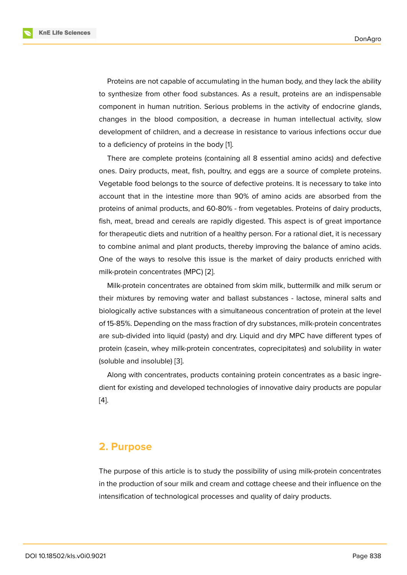Proteins are not capable of accumulating in the human body, and they lack the ability to synthesize from other food substances. As a result, proteins are an indispensable component in human nutrition. Serious problems in the activity of endocrine glands, changes in the blood composition, a decrease in human intellectual activity, slow development of children, and a decrease in resistance to various infections occur due to a deficiency of proteins in the body [1].

There are complete proteins (containing all 8 essential amino acids) and defective ones. Dairy products, meat, fish, poultry, and eggs are a source of complete proteins. Vegetable food belongs to the source [of](#page-7-0) defective proteins. It is necessary to take into account that in the intestine more than 90% of amino acids are absorbed from the proteins of animal products, and 60-80% - from vegetables. Proteins of dairy products, fish, meat, bread and cereals are rapidly digested. This aspect is of great importance for therapeutic diets and nutrition of a healthy person. For a rational diet, it is necessary to combine animal and plant products, thereby improving the balance of amino acids. One of the ways to resolve this issue is the market of dairy products enriched with milk-protein concentrates (MPC) [2].

Milk-protein concentrates are obtained from skim milk, buttermilk and milk serum or their mixtures by removing water and ballast substances - lactose, mineral salts and biologically active substances wi[th](#page-7-1) a simultaneous concentration of protein at the level of 15-85%. Depending on the mass fraction of dry substances, milk-protein concentrates are sub-divided into liquid (pasty) and dry. Liquid and dry MPC have different types of protein (casein, whey milk-protein concentrates, coprecipitates) and solubility in water (soluble and insoluble) [3].

Along with concentrates, products containing protein concentrates as a basic ingredient for existing and developed technologies of innovative dairy products are popular [4].

### **2. Purpose**

The purpose of this article is to study the possibility of using milk-protein concentrates in the production of sour milk and cream and cottage cheese and their influence on the intensification of technological processes and quality of dairy products.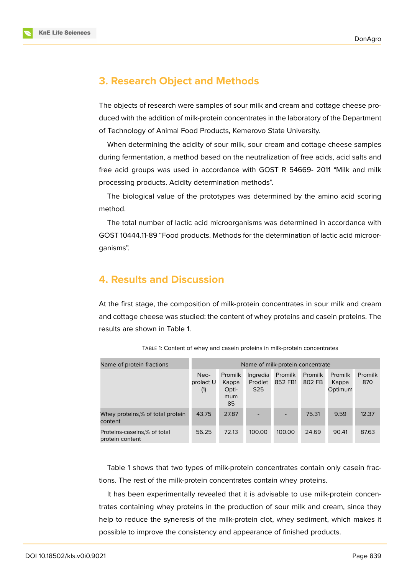

# **3. Research Object and Methods**

The objects of research were samples of sour milk and cream and cottage cheese produced with the addition of milk-protein concentrates in the laboratory of the Department of Technology of Animal Food Products, Kemerovo State University.

When determining the acidity of sour milk, sour cream and cottage cheese samples during fermentation, a method based on the neutralization of free acids, acid salts and free acid groups was used in accordance with GOST R 54669- 2011 "Milk and milk processing products. Acidity determination methods".

The biological value of the prototypes was determined by the amino acid scoring method.

The total number of lactic acid microorganisms was determined in accordance with GOST 10444.11-89 "Food products. Methods for the determination of lactic acid microorganisms".

# **4. Results and Discussion**

At the first stage, the composition of milk-protein concentrates in sour milk and cream and cottage cheese was studied: the content of whey proteins and casein proteins. The results are shown in Table 1.

| Name of protein fractions                      | Name of milk-protein concentrate |                                        |                                        |                           |                   |                                    |                |
|------------------------------------------------|----------------------------------|----------------------------------------|----------------------------------------|---------------------------|-------------------|------------------------------------|----------------|
|                                                | Neo-<br>prolact U<br>(1)         | Promilk<br>Kappa<br>Opti-<br>mum<br>85 | Ingredia<br>Prodiet<br>S <sub>25</sub> | <b>Promilk</b><br>852 FB1 | Promilk<br>802 FB | <b>Promilk</b><br>Kappa<br>Optimum | Promilk<br>870 |
| Whey proteins,% of total protein<br>content    | 43.75                            | 27.87                                  |                                        |                           | 75.31             | 9.59                               | 12.37          |
| Proteins-caseins,% of total<br>protein content | 56.25                            | 72.13                                  | 100.00                                 | 100.00                    | 24.69             | 90.41                              | 87.63          |

TABLE 1: Content of whey and casein proteins in milk-protein concentrates

Table 1 shows that two types of milk-protein concentrates contain only casein fractions. The rest of the milk-protein concentrates contain whey proteins.

It has been experimentally revealed that it is advisable to use milk-protein concentrates containing whey proteins in the production of sour milk and cream, since they help to reduce the syneresis of the milk-protein clot, whey sediment, which makes it possible to improve the consistency and appearance of finished products.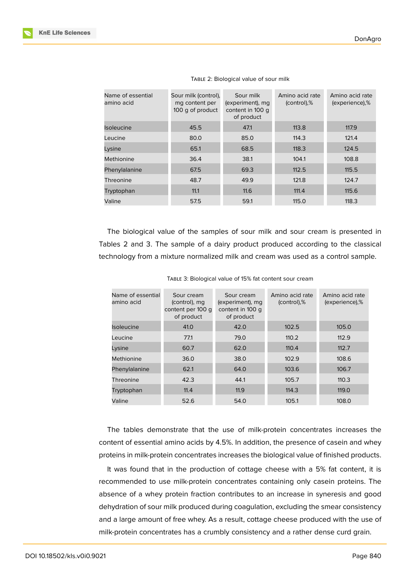

| Name of essential<br>amino acid | Sour milk (control),<br>mg content per<br>100 g of product | Sour milk<br>(experiment), mg<br>content in 100 g<br>of product | Amino acid rate<br>(control),% | Amino acid rate<br>(experience),% |
|---------------------------------|------------------------------------------------------------|-----------------------------------------------------------------|--------------------------------|-----------------------------------|
| Isoleucine                      | 45.5                                                       | 47.1                                                            | 113.8                          | 117.9                             |
| Leucine                         | 80.0                                                       | 85.0                                                            | 114.3                          | 121.4                             |
| Lysine                          | 65.1                                                       | 68.5                                                            | 118.3                          | 124.5                             |
| Methionine                      | 36.4                                                       | 38.1                                                            | 104.1                          | 108.8                             |
| Phenylalanine                   | 67.5                                                       | 69.3                                                            | 112.5                          | 115.5                             |
| Threonine                       | 48.7                                                       | 49.9                                                            | 121.8                          | 124.7                             |
| Tryptophan                      | 11.1                                                       | 11.6                                                            | 111.4                          | 115.6                             |
| Valine                          | 57.5                                                       | 59.1                                                            | 115.0                          | 118.3                             |

TABLE 2: Biological value of sour milk

The biological value of the samples of sour milk and sour cream is presented in Tables 2 and 3. The sample of a dairy product produced according to the classical technology from a mixture normalized milk and cream was used as a control sample.

| Name of essential<br>amino acid | Sour cream<br>(control), mg<br>content per 100 g<br>of product | Sour cream<br>(experiment), mg<br>content in 100 g<br>of product | Amino acid rate<br>(control),% | Amino acid rate<br>(experience),% |
|---------------------------------|----------------------------------------------------------------|------------------------------------------------------------------|--------------------------------|-----------------------------------|
| <b>Isoleucine</b>               | 41.0                                                           | 42.0                                                             | 102.5                          | 105.0                             |
| Leucine                         | 77.1                                                           | 79.0                                                             | 110.2                          | 112.9                             |
| Lysine                          | 60.7                                                           | 62.0                                                             | 110.4                          | 112.7                             |
| Methionine                      | 36.0                                                           | 38.0                                                             | 102.9                          | 108.6                             |
| Phenylalanine                   | 62.1                                                           | 64.0                                                             | 103.6                          | 106.7                             |
| Threonine                       | 42.3                                                           | 44.1                                                             | 105.7                          | 110.3                             |
| Tryptophan                      | 11.4                                                           | 11.9                                                             | 114.3                          | 119.0                             |
| Valine                          | 52.6                                                           | 54.0                                                             | 105.1                          | 108.0                             |

TABLE 3: Biological value of 15% fat content sour cream

The tables demonstrate that the use of milk-protein concentrates increases the content of essential amino acids by 4.5%. In addition, the presence of casein and whey proteins in milk-protein concentrates increases the biological value of finished products.

It was found that in the production of cottage cheese with a 5% fat content, it is recommended to use milk-protein concentrates containing only casein proteins. The absence of a whey protein fraction contributes to an increase in syneresis and good dehydration of sour milk produced during coagulation, excluding the smear consistency and a large amount of free whey. As a result, cottage cheese produced with the use of milk-protein concentrates has a crumbly consistency and a rather dense curd grain.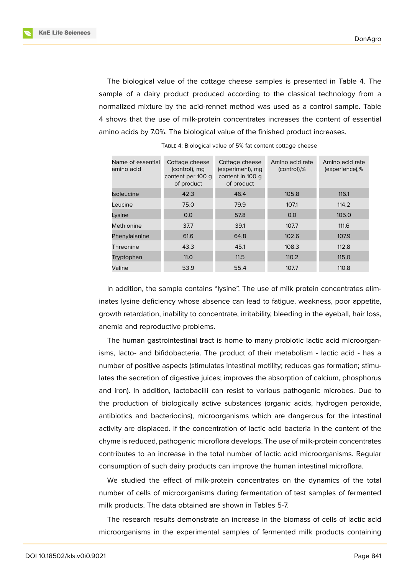**KnE Life Sciences** 

The biological value of the cottage cheese samples is presented in Table 4. The sample of a dairy product produced according to the classical technology from a normalized mixture by the acid-rennet method was used as a control sample. Table 4 shows that the use of milk-protein concentrates increases the content of essential amino acids by 7.0%. The biological value of the finished product increases.

| Name of essential<br>amino acid | Cottage cheese<br>(control), mg<br>content per 100 g<br>of product | Cottage cheese<br>(experiment), mg<br>content in 100 g<br>of product | Amino acid rate<br>(control),% | Amino acid rate<br>(experience),% |
|---------------------------------|--------------------------------------------------------------------|----------------------------------------------------------------------|--------------------------------|-----------------------------------|
| <b>Isoleucine</b>               | 42.3                                                               | 46.4                                                                 | 105.8                          | 116.1                             |
| Leucine                         | 75.0                                                               | 79.9                                                                 | 107.1                          | 114.2                             |
| Lysine                          | 0.0                                                                | 57.8                                                                 | 0.0                            | 105.0                             |
| Methionine                      | 37.7                                                               | 39.1                                                                 | 107.7                          | 111.6                             |
| Phenylalanine                   | 61.6                                                               | 64.8                                                                 | 102.6                          | 107.9                             |
| Threonine                       | 43.3                                                               | 45.1                                                                 | 108.3                          | 112.8                             |
| Tryptophan                      | 11.0                                                               | 11.5                                                                 | 110.2                          | 115.0                             |
| Valine                          | 53.9                                                               | 55.4                                                                 | 107.7                          | 110.8                             |

TABLE 4: Biological value of 5% fat content cottage cheese

In addition, the sample contains "lysine". The use of milk protein concentrates eliminates lysine deficiency whose absence can lead to fatigue, weakness, poor appetite, growth retardation, inability to concentrate, irritability, bleeding in the eyeball, hair loss, anemia and reproductive problems.

The human gastrointestinal tract is home to many probiotic lactic acid microorganisms, lacto- and bifidobacteria. The product of their metabolism - lactic acid - has a number of positive aspects (stimulates intestinal motility; reduces gas formation; stimulates the secretion of digestive juices; improves the absorption of calcium, phosphorus and iron). In addition, lactobacilli can resist to various pathogenic microbes. Due to the production of biologically active substances (organic acids, hydrogen peroxide, antibiotics and bacteriocins), microorganisms which are dangerous for the intestinal activity are displaced. If the concentration of lactic acid bacteria in the content of the chyme is reduced, pathogenic microflora develops. The use of milk-protein concentrates contributes to an increase in the total number of lactic acid microorganisms. Regular consumption of such dairy products can improve the human intestinal microflora.

We studied the effect of milk-protein concentrates on the dynamics of the total number of cells of microorganisms during fermentation of test samples of fermented milk products. The data obtained are shown in Tables 5-7.

The research results demonstrate an increase in the biomass of cells of lactic acid microorganisms in the experimental samples of fermented milk products containing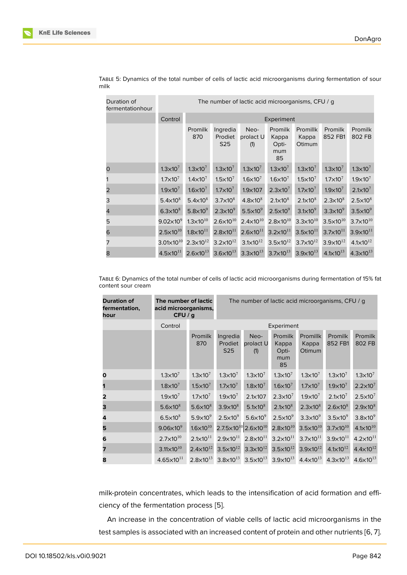| Duration of<br>fermentationhour | The number of lactic acid microorganisms, CFU / g |                      |                                        |                          |                                        |                                    |                      |                      |  |  |
|---------------------------------|---------------------------------------------------|----------------------|----------------------------------------|--------------------------|----------------------------------------|------------------------------------|----------------------|----------------------|--|--|
|                                 | Control                                           |                      | Experiment                             |                          |                                        |                                    |                      |                      |  |  |
|                                 |                                                   | Promilk<br>870       | Ingredia<br>Prodiet<br>S <sub>25</sub> | Neo-<br>prolact U<br>(1) | Promilk<br>Kappa<br>Opti-<br>mum<br>85 | <b>Promillk</b><br>Kappa<br>Otimum | Promilk<br>852 FB1   | Promilk<br>802 FB    |  |  |
| 0                               | $1.3 \times 10^{7}$                               | $1.3 \times 10^{7}$  | $1.3 \times 10^{7}$                    | $1.3 \times 10^{7}$      | $1.3 \times 10^{7}$                    | $1.3 \times 10^{7}$                | $1.3 \times 10^{7}$  | $1.3 \times 10^{7}$  |  |  |
|                                 | $1.7\times10^{7}$                                 | $1.4 \times 10^{7}$  | $1.5 \times 10^{7}$                    | $1.6 \times 10^{7}$      | $1.6 \times 10^{7}$                    | $1.5 \times 10^{7}$                | $1.7 \times 10^{7}$  | $1.9 \times 10^{7}$  |  |  |
| 2                               | $1.9 \times 10^{7}$                               | $1.6 \times 10^{7}$  | $1.7\times10^7$                        | $1.9\times107$           | $2.3 \times 10^{7}$                    | $1.7\times10^{7}$                  | $1.9\times10^{7}$    | $2.1 \times 10^{7}$  |  |  |
| 3                               | $5.4\times10^{8}$                                 | $5.4 \times 10^8$    | $3.7\times10^8$                        | $4.8\times10^{8}$        | $2.1 \times 10^8$                      | $2.1\times10^8$                    | $2.3 \times 10^8$    | $2.5 \times 10^8$    |  |  |
| 4                               | $6.3\times10^{8}$                                 | 5.8 $\times$ 10 $^9$ | $2.3\times10^{9}$                      | $5.5\times10^{9}$        | $2.5\times10^{9}$                      | $3.1\times10^{9}$                  | $3.3\times10^{9}$    | $3.5\times10^9$      |  |  |
| 5                               | $9.02\times10^{9}$                                | $1.3 \times 10^{10}$ | $2.6 \times 10^{10}$                   | $2.4 \times 10^{10}$     | $2.8 \times 10^{10}$                   | $3.3 \times 10^{10}$               | $3.5 \times 10^{10}$ | $3.7\times10^{10}$   |  |  |
| 6                               | $2.5 \times 10^{10}$                              | $1.8 \times 10^{11}$ | $2.8 \times 10^{11}$                   | $2.6 \times 10^{11}$     | $3.2 \times 10^{11}$                   | $3.5 \times 10^{11}$               | $3.7 \times 10^{11}$ | $3.9\times10^{11}$   |  |  |
| 7                               | 3.01 $\times$ 10 $^{10}$                          | $2.3 \times 10^{12}$ | $3.2 \times 10^{12}$                   | $3.1 \times 10^{12}$     | $3.5 \times 10^{12}$                   | $3.7 \times 10^{12}$               | $3.9\times10^{12}$   | $4.1 \times 10^{12}$ |  |  |
| 8                               | $4.5 \times 10^{11}$                              | $2.6 \times 10^{13}$ | $3.6 \times 10^{13}$                   | $3.3 \times 10^{13}$     | $3.7 \times 10^{13}$                   | $3.9 \times 10^{13}$               | $4.1 \times 10^{13}$ | $4.3 \times 10^{13}$ |  |  |

TABLE 5: Dynamics of the total number of cells of lactic acid microorganisms during fermentation of sour milk

TABLE 6: Dynamics of the total number of cells of lactic acid microorganisms during fermentation of 15% fat content sour cream

| <b>Duration of</b><br>fermentation,<br>hour | The number of lactic<br>acid microorganisms,<br>CFU/g |                      | The number of lactic acid microorganisms, CFU / g |                                          |                                        |                             |                      |                      |
|---------------------------------------------|-------------------------------------------------------|----------------------|---------------------------------------------------|------------------------------------------|----------------------------------------|-----------------------------|----------------------|----------------------|
|                                             | Control                                               |                      | Experiment                                        |                                          |                                        |                             |                      |                      |
|                                             |                                                       | Promilk<br>870       | Ingredia<br>Prodiet<br>S <sub>25</sub>            | Neo-<br>prolact U<br>(1)                 | Promilk<br>Kappa<br>Opti-<br>mum<br>85 | Promillk<br>Kappa<br>Otimum | Promilk<br>852 FB1   | Promilk<br>802 FB    |
| 0                                           | $1.3 \times 10^{7}$                                   | $1.3 \times 10^{7}$  | $1.3 \times 10^{7}$                               | $1.3 \times 10^{7}$                      | $1.3 \times 10^{7}$                    | $1.3 \times 10^{7}$         | $1.3 \times 10^{7}$  | $1.3 \times 10^{7}$  |
|                                             | $1.8 \times 10^{7}$                                   | $1.5\times10^7$      | $1.7 \times 10^{7}$                               | $1.8 \times 10^{7}$                      | $1.6 \times 10^{7}$                    | $1.7 \times 10^{7}$         | $1.9\times10^{7}$    | $2.2 \times 10^{7}$  |
| $\overline{2}$                              | $1.9\times10^{7}$                                     | $1.7\times10^{7}$    | $1.9\times10^{7}$                                 | 2.1×107                                  | $2.3 \times 10^{7}$                    | $1.9 \times 10^{7}$         | $2.1 \times 10^{7}$  | $2.5\times10^7$      |
| З                                           | $5.6\times10^8$                                       | $5.6 \times 10^8$    | $3.9\times10^8$                                   | $5.1\times10^8$                          | $2.1 \times 10^8$                      | $2.3\times10^8$             | $2.6\times10^8$      | $2.9\times10^8$      |
| 4                                           | $6.5\times10^8$                                       | $5.9\times10^{9}$    | $2.5\times10^{9}$                                 | 5.6 $\times$ 10 $^{9}$                   | $2.5 \times 10^{9}$                    | $3.3\times10^{9}$           | $3.5\times10^9$      | $3.8\times10^9$      |
| 5                                           | $9.06\times10^{9}$                                    | $1.6 \times 10^{10}$ |                                                   | $2.7.5\times10^{10}$ 2.6 $\times10^{10}$ | $2.8 \times 10^{10}$                   | $3.5 \times 10^{10}$        | $3.7\times10^{10}$   | $4.1 \times 10^{10}$ |
| 6                                           | $2.7 \times 10^{10}$                                  | $2.1 \times 10^{11}$ | $2.9 \times 10^{11}$                              | $2.8 \times 10^{11}$                     | $3.2\times10^{11}$                     | $3.7\times10^{11}$          | $3.9 \times 10^{11}$ | $4.2 \times 10^{11}$ |
| 7                                           | $3.11 \times 10^{10}$                                 | $2.4 \times 10^{12}$ | $3.5 \times 10^{12}$                              | $3.3 \times 10^{12}$                     | $3.5 \times 10^{12}$                   | $3.9 \times 10^{12}$        | $4.1 \times 10^{12}$ | $4.4 \times 10^{12}$ |
| 8                                           | $4.65 \times 10^{11}$                                 |                      | $2.8 \times 10^{13}$ 3.8 $\times 10^{13}$         | $3.5 \times 10^{13}$                     | $3.9 \times 10^{13}$                   | $4.4 \times 10^{13}$        | $4.3 \times 10^{13}$ | $4.6 \times 10^{13}$ |

milk-protein concentrates, which leads to the intensification of acid formation and efficiency of the fermentation process [5].

An increase in the concentration of viable cells of lactic acid microorganisms in the test samples is associated with an in[cre](#page-7-2)ased content of protein and other nutrients [6, 7].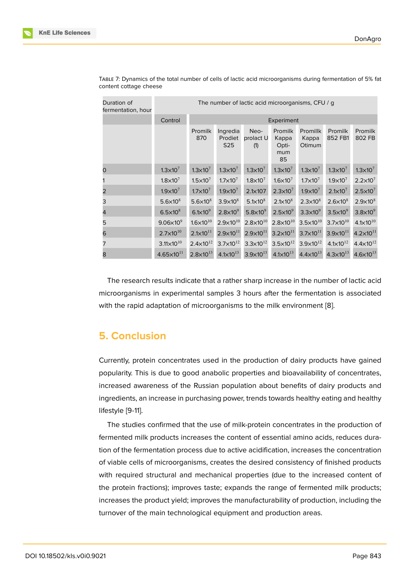| Duration of<br>fermentation, hour | The number of lactic acid microorganisms, CFU / g |                      |                                        |                          |                                               |                             |                      |                      |  |
|-----------------------------------|---------------------------------------------------|----------------------|----------------------------------------|--------------------------|-----------------------------------------------|-----------------------------|----------------------|----------------------|--|
|                                   | Control                                           |                      | Experiment                             |                          |                                               |                             |                      |                      |  |
|                                   |                                                   | Promilk<br>870       | Ingredia<br>Prodiet<br>S <sub>25</sub> | Neo-<br>prolact U<br>(1) | <b>Promilk</b><br>Kappa<br>Opti-<br>mum<br>85 | Promillk<br>Kappa<br>Otimum | Promilk<br>852 FB1   | Promilk<br>802 FB    |  |
| 0                                 | $1.3 \times 10^{7}$                               | $1.3 \times 10^{7}$  | $1.3 \times 10^{7}$                    | $1.3\times10^{7}$        | $1.3 \times 10^{7}$                           | $1.3\times10^7$             | $1.3 \times 10^{7}$  | $1.3 \times 10^{7}$  |  |
|                                   | $1.8 \times 10^{7}$                               | $1.5 \times 10^{7}$  | $1.7 \times 10^{7}$                    | $1.8 \times 10^{7}$      | $1.6 \times 10^{7}$                           | $1.7\times10^7$             | $1.9\times10^{7}$    | $2.2 \times 10^{7}$  |  |
| 2                                 | $1.9\times10^{7}$                                 | $1.7 \times 10^{7}$  | $1.9\times10^{7}$                      | $2.1\times107$           | $2.3 \times 10^{7}$                           | $1.9\times10^{7}$           | $2.1 \times 10^{7}$  | $2.5 \times 10^7$    |  |
| 3                                 | $5.6 \times 10^8$                                 | $5.6 \times 10^8$    | $3.9\times10^8$                        | $5.1 \times 10^8$        | $2.1 \times 10^8$                             | $2.3 \times 10^8$           | $2.6 \times 10^8$    | $2.9\times10^8$      |  |
| 4                                 | $6.5\times10^8$                                   | $6.1\times10^{9}$    | $2.8\times10^{9}$                      | $5.8\times10^{9}$        | $2.5\times10^{9}$                             | $3.3\times10^9$             | $3.5\times10^{9}$    | $3.8\times10^9$      |  |
| 5                                 | $9.06\times10^{9}$                                | $1.6 \times 10^{10}$ | $2.9 \times 10^{10}$                   | $2.8 \times 10^{10}$     | $2.8 \times 10^{10}$                          | $3.5 \times 10^{10}$        | $3.7\times10^{10}$   | $4.1 \times 10^{10}$ |  |
| 6                                 | $2.7\times10^{10}$                                | $2.1 \times 10^{11}$ | $2.9 \times 10^{11}$                   | $2.9 \times 10^{11}$     | $3.2 \times 10^{11}$                          | $3.7 \times 10^{11}$        | $3.9 \times 10^{11}$ | $4.2 \times 10^{11}$ |  |
| 7                                 | $3.11 \times 10^{10}$                             | $2.4 \times 10^{12}$ | $3.7 \times 10^{12}$                   | $3.3 \times 10^{12}$     | $3.5 \times 10^{12}$                          | $3.9 \times 10^{12}$        | $4.1 \times 10^{12}$ | $4.4 \times 10^{12}$ |  |
| 8                                 | $4.65\times10^{11}$                               | $2.8 \times 10^{13}$ | $4.1 \times 10^{13}$                   | $3.9 \times 10^{13}$     | $4.1 \times 10^{13}$                          | $4.4 \times 10^{13}$        | $4.3 \times 10^{13}$ | $4.6 \times 10^{13}$ |  |

TABLE 7: Dynamics of the total number of cells of lactic acid microorganisms during fermentation of 5% fat content cottage cheese

The research results indicate that a rather sharp increase in the number of lactic acid microorganisms in experimental samples 3 hours after the fermentation is associated with the rapid adaptation of microorganisms to the milk environment [8].

### **5. Conclusion**

Currently, protein concentrates used in the production of dairy products have gained popularity. This is due to good anabolic properties and bioavailability of concentrates, increased awareness of the Russian population about benefits of dairy products and ingredients, an increase in purchasing power, trends towards healthy eating and healthy lifestyle [9-11].

The studies confirmed that the use of milk-protein concentrates in the production of fermented milk products increases the content of essential amino acids, reduces duration of the fermentation process due to active acidification, increases the concentration of viable cells of microorganisms, creates the desired consistency of finished products with required structural and mechanical properties (due to the increased content of the protein fractions); improves taste; expands the range of fermented milk products; increases the product yield; improves the manufacturability of production, including the turnover of the main technological equipment and production areas.